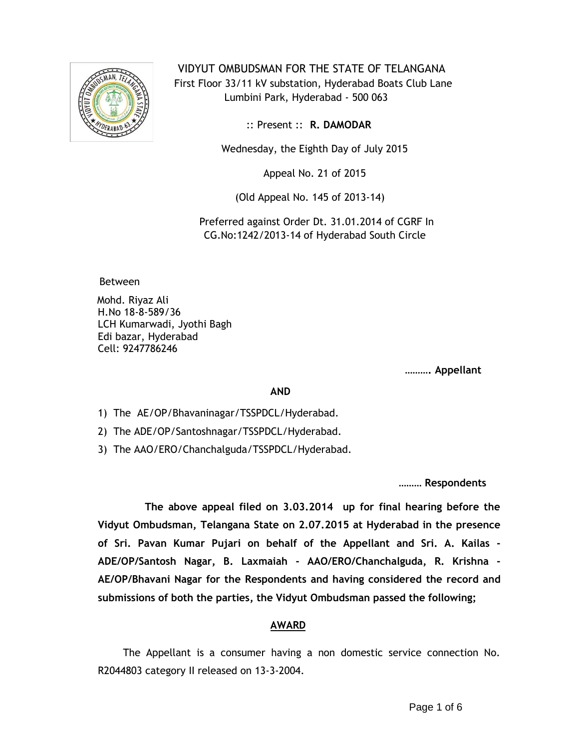

 VIDYUT OMBUDSMAN FOR THE STATE OF TELANGANA First Floor 33/11 kV substation, Hyderabad Boats Club Lane Lumbini Park, Hyderabad - 500 063

:: Present :: **R. DAMODAR**

Wednesday, the Eighth Day of July 2015

Appeal No. 21 of 2015

(Old Appeal No. 145 of 2013-14)

 Preferred against Order Dt. 31.01.2014 of CGRF In CG.No:1242/2013-14 of Hyderabad South Circle

Between

Mohd. Riyaz Ali H.No 18-8-589/36 LCH Kumarwadi, Jyothi Bagh Edi bazar, Hyderabad Cell: 9247786246

**………. Appellant**

**AND**

1) The AE/OP/Bhavaninagar/TSSPDCL/Hyderabad.

2) The ADE/OP/Santoshnagar/TSSPDCL/Hyderabad.

3) The AAO/ERO/Chanchalguda/TSSPDCL/Hyderabad.

**……… Respondents**

 **The above appeal filed on 3.03.2014 up for final hearing before the Vidyut Ombudsman, Telangana State on 2.07.2015 at Hyderabad in the presence of Sri. Pavan Kumar Pujari on behalf of the Appellant and Sri. A. Kailas - ADE/OP/Santosh Nagar, B. Laxmaiah - AAO/ERO/Chanchalguda, R. Krishna - AE/OP/Bhavani Nagar for the Respondents and having considered the record and submissions of both the parties, the Vidyut Ombudsman passed the following;**

## **AWARD**

 The Appellant is a consumer having a non domestic service connection No. R2044803 category II released on 13-3-2004.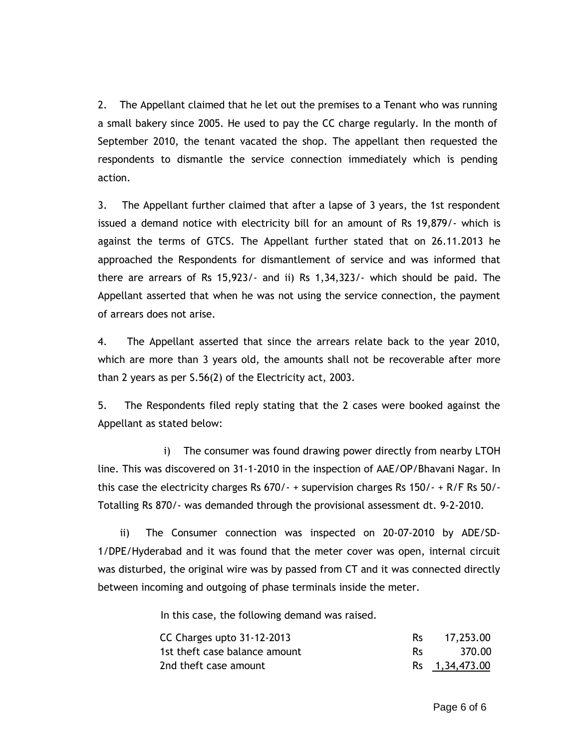2. The Appellant claimed that he let out the premises to a Tenant who was running a small bakery since 2005. He used to pay the CC charge regularly. In the month of September 2010, the tenant vacated the shop. The appellant then requested the respondents to dismantle the service connection immediately which is pending action.

3. The Appellant further claimed that after a lapse of 3 years, the 1st respondent issued a demand notice with electricity bill for an amount of Rs 19,879/- which is against the terms of GTCS. The Appellant further stated that on 26.11.2013 he approached the Respondents for dismantlement of service and was informed that there are arrears of Rs 15,923/- and ii) Rs 1,34,323/- which should be paid. The Appellant asserted that when he was not using the service connection, the payment of arrears does not arise.

4. The Appellant asserted that since the arrears relate back to the year 2010, which are more than 3 years old, the amounts shall not be recoverable after more than 2 years as per S.56(2) of the Electricity act, 2003.

5. The Respondents filed reply stating that the 2 cases were booked against the Appellant as stated below:

 i) The consumer was found drawing power directly from nearby LTOH line. This was discovered on 31-1-2010 in the inspection of AAE/OP/Bhavani Nagar. In this case the electricity charges Rs 670/- + supervision charges Rs 150/- + R/F Rs 50/- Totalling Rs 870/- was demanded through the provisional assessment dt. 9-2-2010.

 ii) The Consumer connection was inspected on 20-07-2010 by ADE/SD-1/DPE/Hyderabad and it was found that the meter cover was open, internal circuit was disturbed, the original wire was by passed from CT and it was connected directly between incoming and outgoing of phase terminals inside the meter.

In this case, the following demand was raised.

| CC Charges upto 31-12-2013    |     | 17,253.00      |
|-------------------------------|-----|----------------|
| 1st theft case balance amount | Rs. | 370.00         |
| 2nd theft case amount         |     | Rs 1,34,473.00 |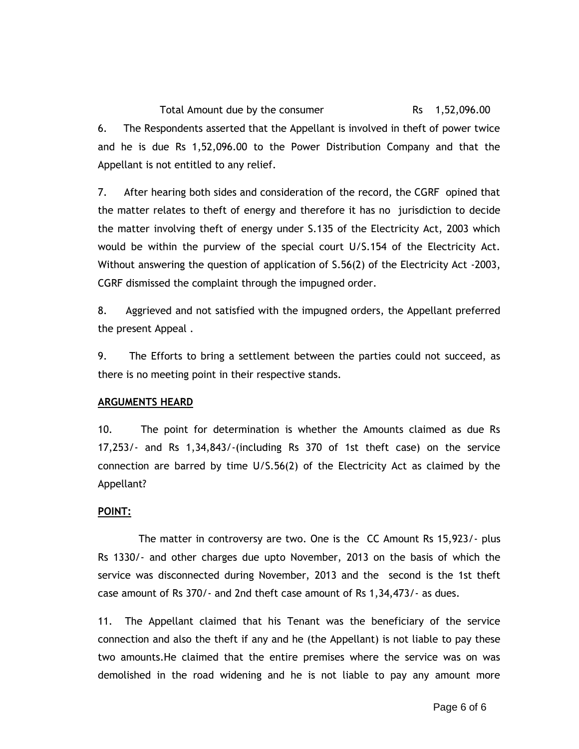Total Amount due by the consumer Total Rs 1,52,096.00 6. The Respondents asserted that the Appellant is involved in theft of power twice and he is due Rs 1,52,096.00 to the Power Distribution Company and that the Appellant is not entitled to any relief.

7. After hearing both sides and consideration of the record, the CGRF opined that the matter relates to theft of energy and therefore it has no jurisdiction to decide the matter involving theft of energy under S.135 of the Electricity Act, 2003 which would be within the purview of the special court U/S.154 of the Electricity Act. Without answering the question of application of S.56(2) of the Electricity Act -2003, CGRF dismissed the complaint through the impugned order.

8. Aggrieved and not satisfied with the impugned orders, the Appellant preferred the present Appeal .

9. The Efforts to bring a settlement between the parties could not succeed, as there is no meeting point in their respective stands.

# **ARGUMENTS HEARD**

10. The point for determination is whether the Amounts claimed as due Rs 17,253/- and Rs 1,34,843/-(including Rs 370 of 1st theft case) on the service connection are barred by time U/S.56(2) of the Electricity Act as claimed by the Appellant?

# **POINT:**

 The matter in controversy are two. One is the CC Amount Rs 15,923/- plus Rs 1330/- and other charges due upto November, 2013 on the basis of which the service was disconnected during November, 2013 and the second is the 1st theft case amount of Rs 370/- and 2nd theft case amount of Rs 1,34,473/- as dues.

11. The Appellant claimed that his Tenant was the beneficiary of the service connection and also the theft if any and he (the Appellant) is not liable to pay these two amounts.He claimed that the entire premises where the service was on was demolished in the road widening and he is not liable to pay any amount more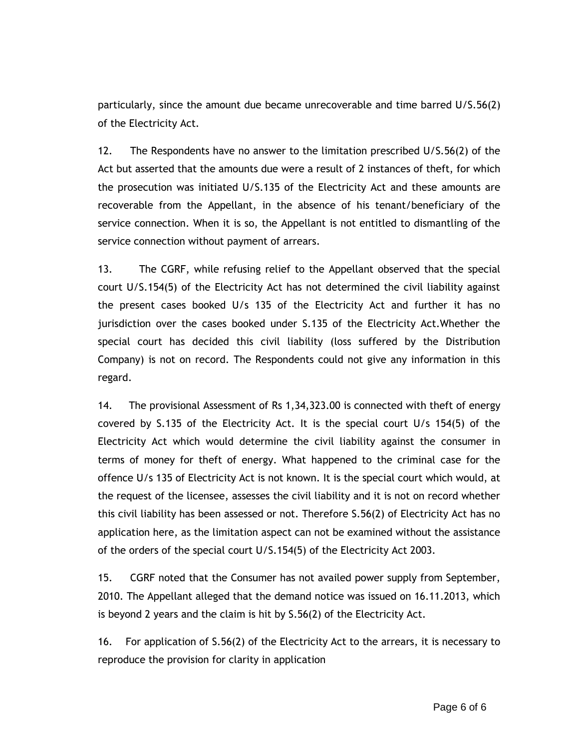particularly, since the amount due became unrecoverable and time barred U/S.56(2) of the Electricity Act.

12. The Respondents have no answer to the limitation prescribed U/S.56(2) of the Act but asserted that the amounts due were a result of 2 instances of theft, for which the prosecution was initiated U/S.135 of the Electricity Act and these amounts are recoverable from the Appellant, in the absence of his tenant/beneficiary of the service connection. When it is so, the Appellant is not entitled to dismantling of the service connection without payment of arrears.

13. The CGRF, while refusing relief to the Appellant observed that the special court U/S.154(5) of the Electricity Act has not determined the civil liability against the present cases booked U/s 135 of the Electricity Act and further it has no jurisdiction over the cases booked under S.135 of the Electricity Act.Whether the special court has decided this civil liability (loss suffered by the Distribution Company) is not on record. The Respondents could not give any information in this regard.

14. The provisional Assessment of Rs 1,34,323.00 is connected with theft of energy covered by S.135 of the Electricity Act. It is the special court U/s 154(5) of the Electricity Act which would determine the civil liability against the consumer in terms of money for theft of energy. What happened to the criminal case for the offence U/s 135 of Electricity Act is not known. It is the special court which would, at the request of the licensee, assesses the civil liability and it is not on record whether this civil liability has been assessed or not. Therefore S.56(2) of Electricity Act has no application here, as the limitation aspect can not be examined without the assistance of the orders of the special court U/S.154(5) of the Electricity Act 2003.

15. CGRF noted that the Consumer has not availed power supply from September, 2010. The Appellant alleged that the demand notice was issued on 16.11.2013, which is beyond 2 years and the claim is hit by S.56(2) of the Electricity Act.

16. For application of S.56(2) of the Electricity Act to the arrears, it is necessary to reproduce the provision for clarity in application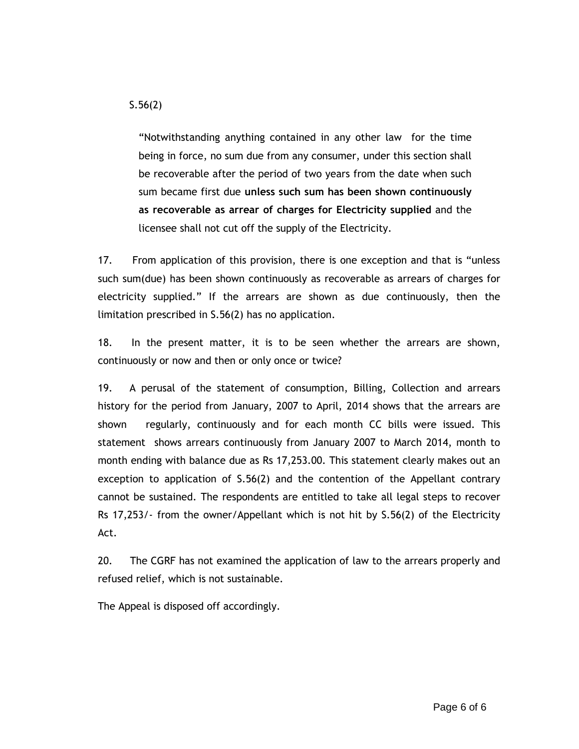S.56(2)

"Notwithstanding anything contained in any other law for the time being in force, no sum due from any consumer, under this section shall be recoverable after the period of two years from the date when such sum became first due **unless such sum has been shown continuously as recoverable as arrear of charges for Electricity supplied** and the licensee shall not cut off the supply of the Electricity.

17. From application of this provision, there is one exception and that is "unless such sum(due) has been shown continuously as recoverable as arrears of charges for electricity supplied." If the arrears are shown as due continuously, then the limitation prescribed in S.56(2) has no application.

18. In the present matter, it is to be seen whether the arrears are shown, continuously or now and then or only once or twice?

19. A perusal of the statement of consumption, Billing, Collection and arrears history for the period from January, 2007 to April, 2014 shows that the arrears are shown regularly, continuously and for each month CC bills were issued. This statement shows arrears continuously from January 2007 to March 2014, month to month ending with balance due as Rs 17,253.00. This statement clearly makes out an exception to application of S.56(2) and the contention of the Appellant contrary cannot be sustained. The respondents are entitled to take all legal steps to recover Rs 17,253/- from the owner/Appellant which is not hit by S.56(2) of the Electricity Act.

20. The CGRF has not examined the application of law to the arrears properly and refused relief, which is not sustainable.

The Appeal is disposed off accordingly.